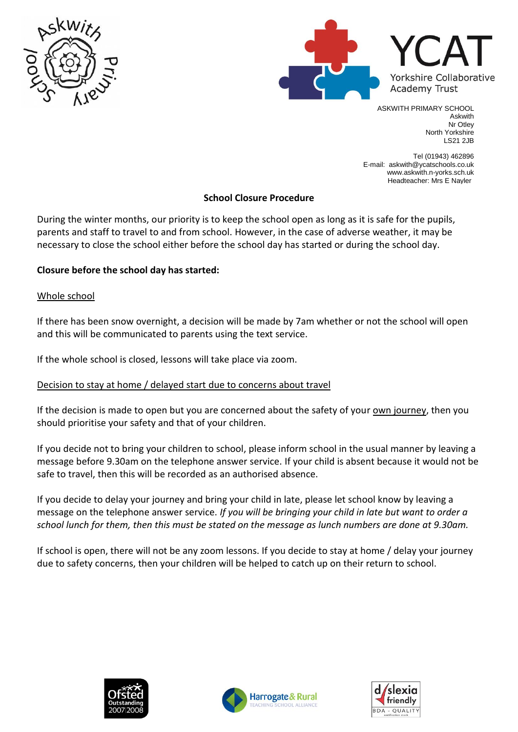



ASKWITH PRIMARY SCHOOL Askwith Nr Otley North Yorkshire LS21 2JB

Tel (01943) 462896 E-mail: askwith@ycatschools.co.uk www.askwith.n-yorks.sch.uk Headteacher: Mrs E Nayler

## **School Closure Procedure**

During the winter months, our priority is to keep the school open as long as it is safe for the pupils, parents and staff to travel to and from school. However, in the case of adverse weather, it may be necessary to close the school either before the school day has started or during the school day.

# **Closure before the school day has started:**

## Whole school

If there has been snow overnight, a decision will be made by 7am whether or not the school will open and this will be communicated to parents using the text service.

If the whole school is closed, lessons will take place via zoom.

## Decision to stay at home / delayed start due to concerns about travel

If the decision is made to open but you are concerned about the safety of your own journey, then you should prioritise your safety and that of your children.

If you decide not to bring your children to school, please inform school in the usual manner by leaving a message before 9.30am on the telephone answer service. If your child is absent because it would not be safe to travel, then this will be recorded as an authorised absence.

If you decide to delay your journey and bring your child in late, please let school know by leaving a message on the telephone answer service. *If you will be bringing your child in late but want to order a school lunch for them, then this must be stated on the message as lunch numbers are done at 9.30am.*

If school is open, there will not be any zoom lessons. If you decide to stay at home / delay your journey due to safety concerns, then your children will be helped to catch up on their return to school.